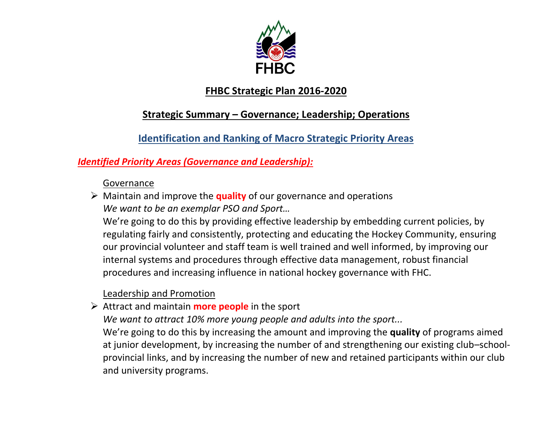

# **FHBC Strategic Plan 2016-2020**

# **Strategic Summary – Governance; Leadership; Operations**

# **Identification and Ranking of Macro Strategic Priority Areas**

# *Identified Priority Areas (Governance and Leadership):*

### Governance

 Maintain and improve the **quality** of our governance and operations *We want to be an exemplar PSO and Sport…*

We're going to do this by providing effective leadership by embedding current policies, by regulating fairly and consistently, protecting and educating the Hockey Community, ensuring our provincial volunteer and staff team is well trained and well informed, by improving our internal systems and procedures through effective data management, robust financial procedures and increasing influence in national hockey governance with FHC.

# Leadership and Promotion

Attract and maintain **more people** in the sport

*We want to attract 10% more young people and adults into the sport...*

We're going to do this by increasing the amount and improving the **quality** of programs aimed at junior development, by increasing the number of and strengthening our existing club–schoolprovincial links, and by increasing the number of new and retained participants within our club and university programs.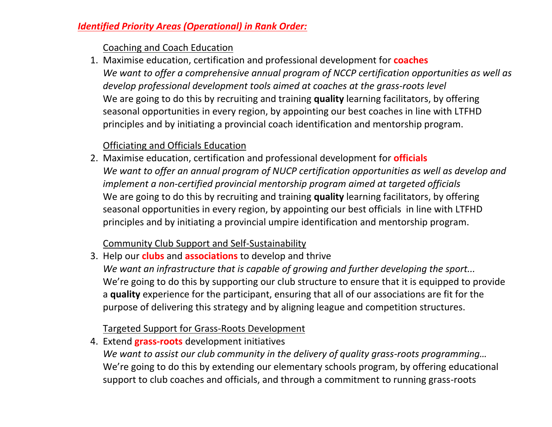### *Identified Priority Areas (Operational) in Rank Order:*

#### Coaching and Coach Education

1. Maximise education, certification and professional development for **coaches** *We want to offer a comprehensive annual program of NCCP certification opportunities as well as develop professional development tools aimed at coaches at the grass-roots level*  We are going to do this by recruiting and training **quality** learning facilitators, by offering seasonal opportunities in every region, by appointing our best coaches in line with LTFHD principles and by initiating a provincial coach identification and mentorship program.

## Officiating and Officials Education

2. Maximise education, certification and professional development for **officials** *We want to offer an annual program of NUCP certification opportunities as well as develop and implement a non-certified provincial mentorship program aimed at targeted officials* We are going to do this by recruiting and training **quality** learning facilitators, by offering seasonal opportunities in every region, by appointing our best officials in line with LTFHD principles and by initiating a provincial umpire identification and mentorship program.

### Community Club Support and Self-Sustainability

3. Help our **clubs** and **associations** to develop and thrive *We want an infrastructure that is capable of growing and further developing the sport...* We're going to do this by supporting our club structure to ensure that it is equipped to provide a **quality** experience for the participant, ensuring that all of our associations are fit for the purpose of delivering this strategy and by aligning league and competition structures.

### Targeted Support for Grass-Roots Development

4. Extend **grass-roots** development initiatives *We want to assist our club community in the delivery of quality grass-roots programming…* We're going to do this by extending our elementary schools program, by offering educational support to club coaches and officials, and through a commitment to running grass-roots